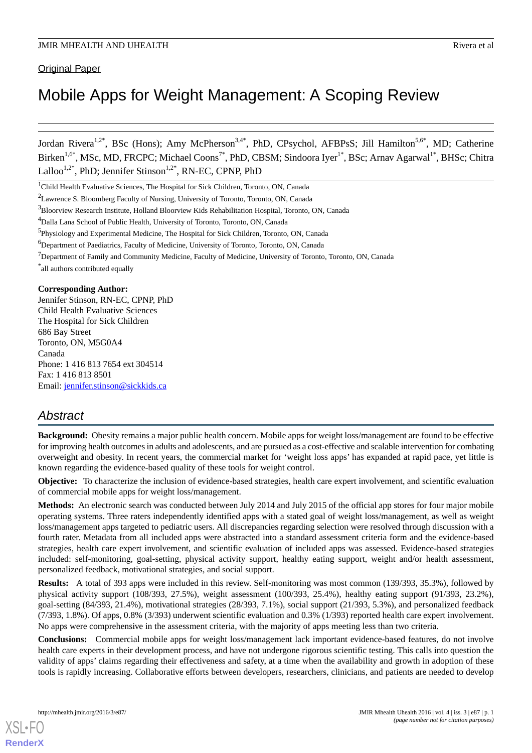# Mobile Apps for Weight Management: A Scoping Review

Jordan Rivera<sup>1,2\*</sup>, BSc (Hons); Amy McPherson<sup>3,4\*</sup>, PhD, CPsychol, AFBPsS; Jill Hamilton<sup>5,6\*</sup>, MD; Catherine Birken<sup>1,6\*</sup>, MSc, MD, FRCPC; Michael Coons<sup>7\*</sup>, PhD, CBSM; Sindoora Iyer<sup>1\*</sup>, BSc; Arnav Agarwal<sup>1\*</sup>, BHSc; Chitra Lalloo<sup>1,2\*</sup>, PhD; Jennifer Stinson<sup>1,2\*</sup>, RN-EC, CPNP, PhD

<sup>1</sup>Child Health Evaluative Sciences, The Hospital for Sick Children, Toronto, ON, Canada

<sup>2</sup>Lawrence S. Bloomberg Faculty of Nursing, University of Toronto, Toronto, ON, Canada

<sup>3</sup>Bloorview Research Institute, Holland Bloorview Kids Rehabilitation Hospital, Toronto, ON, Canada

<sup>4</sup>Dalla Lana School of Public Health, University of Toronto, Toronto, ON, Canada

<sup>5</sup>Physiology and Experimental Medicine, The Hospital for Sick Children, Toronto, ON, Canada

<sup>6</sup>Department of Paediatrics, Faculty of Medicine, University of Toronto, Toronto, ON, Canada

<sup>7</sup>Department of Family and Community Medicine, Faculty of Medicine, University of Toronto, Toronto, ON, Canada

\* all authors contributed equally

#### **Corresponding Author:**

Jennifer Stinson, RN-EC, CPNP, PhD Child Health Evaluative Sciences The Hospital for Sick Children 686 Bay Street Toronto, ON, M5G0A4 Canada Phone: 1 416 813 7654 ext 304514 Fax: 1 416 813 8501 Email: [jennifer.stinson@sickkids.ca](mailto:jennifer.stinson@sickkids.ca)

# *Abstract*

**Background:** Obesity remains a major public health concern. Mobile apps for weight loss/management are found to be effective for improving health outcomes in adults and adolescents, and are pursued as a cost-effective and scalable intervention for combating overweight and obesity. In recent years, the commercial market for 'weight loss apps' has expanded at rapid pace, yet little is known regarding the evidence-based quality of these tools for weight control.

**Objective:** To characterize the inclusion of evidence-based strategies, health care expert involvement, and scientific evaluation of commercial mobile apps for weight loss/management.

**Methods:** An electronic search was conducted between July 2014 and July 2015 of the official app stores for four major mobile operating systems. Three raters independently identified apps with a stated goal of weight loss/management, as well as weight loss/management apps targeted to pediatric users. All discrepancies regarding selection were resolved through discussion with a fourth rater. Metadata from all included apps were abstracted into a standard assessment criteria form and the evidence-based strategies, health care expert involvement, and scientific evaluation of included apps was assessed. Evidence-based strategies included: self-monitoring, goal-setting, physical activity support, healthy eating support, weight and/or health assessment, personalized feedback, motivational strategies, and social support.

**Results:** A total of 393 apps were included in this review. Self-monitoring was most common (139/393, 35.3%), followed by physical activity support (108/393, 27.5%), weight assessment (100/393, 25.4%), healthy eating support (91/393, 23.2%), goal-setting (84/393, 21.4%), motivational strategies (28/393, 7.1%), social support (21/393, 5.3%), and personalized feedback (7/393, 1.8%). Of apps, 0.8% (3/393) underwent scientific evaluation and 0.3% (1/393) reported health care expert involvement. No apps were comprehensive in the assessment criteria, with the majority of apps meeting less than two criteria.

**Conclusions:** Commercial mobile apps for weight loss/management lack important evidence-based features, do not involve health care experts in their development process, and have not undergone rigorous scientific testing. This calls into question the validity of apps' claims regarding their effectiveness and safety, at a time when the availability and growth in adoption of these tools is rapidly increasing. Collaborative efforts between developers, researchers, clinicians, and patients are needed to develop

[XSL](http://www.w3.org/Style/XSL)•FO **[RenderX](http://www.renderx.com/)**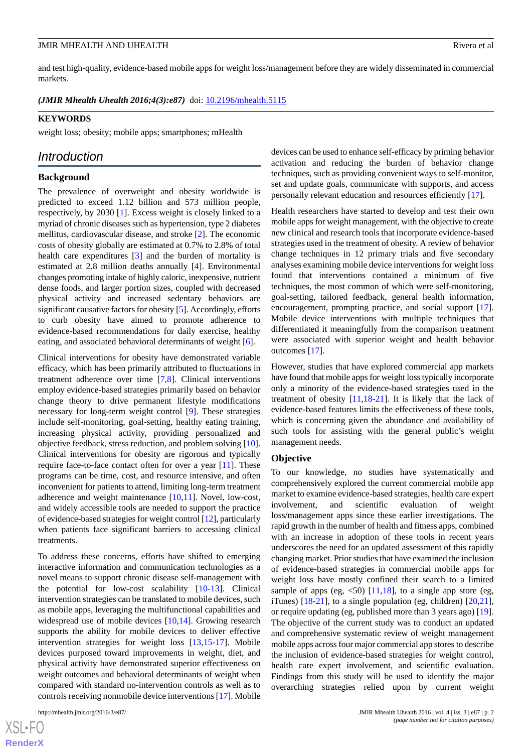and test high-quality, evidence-based mobile apps for weight loss/management before they are widely disseminated in commercial markets.

*(JMIR Mhealth Uhealth 2016;4(3):e87)* doi: [10.2196/mhealth.5115](http://dx.doi.org/10.2196/mhealth.5115)

#### **KEYWORDS**

weight loss; obesity; mobile apps; smartphones; mHealth

# *Introduction*

#### **Background**

The prevalence of overweight and obesity worldwide is predicted to exceed 1.12 billion and 573 million people, respectively, by 2030 [\[1](#page-7-0)]. Excess weight is closely linked to a myriad of chronic diseases such as hypertension, type 2 diabetes mellitus, cardiovascular disease, and stroke [\[2](#page-7-1)]. The economic costs of obesity globally are estimated at 0.7% to 2.8% of total health care expenditures [\[3](#page-7-2)] and the burden of mortality is estimated at 2.8 million deaths annually [[4\]](#page-7-3). Environmental changes promoting intake of highly caloric, inexpensive, nutrient dense foods, and larger portion sizes, coupled with decreased physical activity and increased sedentary behaviors are significant causative factors for obesity [\[5](#page-7-4)]. Accordingly, efforts to curb obesity have aimed to promote adherence to evidence-based recommendations for daily exercise, healthy eating, and associated behavioral determinants of weight [\[6](#page-7-5)].

Clinical interventions for obesity have demonstrated variable efficacy, which has been primarily attributed to fluctuations in treatment adherence over time [[7](#page-7-6)[,8](#page-7-7)]. Clinical interventions employ evidence-based strategies primarily based on behavior change theory to drive permanent lifestyle modifications necessary for long-term weight control [\[9](#page-7-8)]. These strategies include self-monitoring, goal-setting, healthy eating training, increasing physical activity, providing personalized and objective feedback, stress reduction, and problem solving [[10\]](#page-7-9). Clinical interventions for obesity are rigorous and typically require face-to-face contact often for over a year [[11\]](#page-7-10). These programs can be time, cost, and resource intensive, and often inconvenient for patients to attend, limiting long-term treatment adherence and weight maintenance [[10](#page-7-9)[,11](#page-7-10)]. Novel, low-cost, and widely accessible tools are needed to support the practice of evidence-based strategies for weight control [[12\]](#page-7-11), particularly when patients face significant barriers to accessing clinical treatments.

To address these concerns, efforts have shifted to emerging interactive information and communication technologies as a novel means to support chronic disease self-management with the potential for low-cost scalability [\[10](#page-7-9)-[13\]](#page-7-12). Clinical intervention strategies can be translated to mobile devices, such as mobile apps, leveraging the multifunctional capabilities and widespread use of mobile devices [[10](#page-7-9)[,14](#page-7-13)]. Growing research supports the ability for mobile devices to deliver effective intervention strategies for weight loss [\[13](#page-7-12),[15-](#page-7-14)[17](#page-7-15)]. Mobile devices purposed toward improvements in weight, diet, and physical activity have demonstrated superior effectiveness on weight outcomes and behavioral determinants of weight when compared with standard no-intervention controls as well as to controls receiving nonmobile device interventions [\[17](#page-7-15)]. Mobile

devices can be used to enhance self-efficacy by priming behavior activation and reducing the burden of behavior change techniques, such as providing convenient ways to self-monitor, set and update goals, communicate with supports, and access personally relevant education and resources efficiently [\[17](#page-7-15)].

Health researchers have started to develop and test their own mobile apps for weight management, with the objective to create new clinical and research tools that incorporate evidence-based strategies used in the treatment of obesity. A review of behavior change techniques in 12 primary trials and five secondary analyses examining mobile device interventions for weight loss found that interventions contained a minimum of five techniques, the most common of which were self-monitoring, goal-setting, tailored feedback, general health information, encouragement, prompting practice, and social support [[17\]](#page-7-15). Mobile device interventions with multiple techniques that differentiated it meaningfully from the comparison treatment were associated with superior weight and health behavior outcomes [[17\]](#page-7-15).

However, studies that have explored commercial app markets have found that mobile apps for weight loss typically incorporate only a minority of the evidence-based strategies used in the treatment of obesity [\[11](#page-7-10),[18](#page-7-16)[-21](#page-7-17)]. It is likely that the lack of evidence-based features limits the effectiveness of these tools, which is concerning given the abundance and availability of such tools for assisting with the general public's weight management needs.

#### **Objective**

To our knowledge, no studies have systematically and comprehensively explored the current commercial mobile app market to examine evidence-based strategies, health care expert involvement, and scientific evaluation of weight loss/management apps since these earlier investigations. The rapid growth in the number of health and fitness apps, combined with an increase in adoption of these tools in recent years underscores the need for an updated assessment of this rapidly changing market. Prior studies that have examined the inclusion of evidence-based strategies in commercial mobile apps for weight loss have mostly confined their search to a limited sample of apps (eg,  $\langle 50 \rangle$  [[11,](#page-7-10)[18](#page-7-16)], to a single app store (eg, iTunes)  $[18-21]$  $[18-21]$  $[18-21]$ , to a single population (eg, children)  $[20,21]$  $[20,21]$ , or require updating (eg, published more than 3 years ago) [[19\]](#page-7-19). The objective of the current study was to conduct an updated and comprehensive systematic review of weight management mobile apps across four major commercial app stores to describe the inclusion of evidence-based strategies for weight control, health care expert involvement, and scientific evaluation. Findings from this study will be used to identify the major overarching strategies relied upon by current weight

 $XS$ -FO **[RenderX](http://www.renderx.com/)**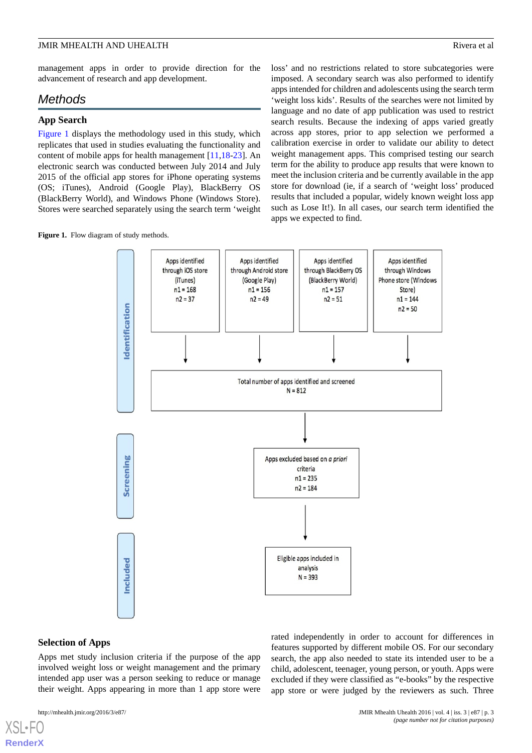management apps in order to provide direction for the advancement of research and app development.

# *Methods*

#### **App Search**

[Figure 1](#page-2-0) displays the methodology used in this study, which replicates that used in studies evaluating the functionality and content of mobile apps for health management [\[11](#page-7-10),[18-](#page-7-16)[23\]](#page-7-20). An electronic search was conducted between July 2014 and July 2015 of the official app stores for iPhone operating systems (OS; iTunes), Android (Google Play), BlackBerry OS (BlackBerry World), and Windows Phone (Windows Store). Stores were searched separately using the search term 'weight

<span id="page-2-0"></span>Figure 1. Flow diagram of study methods.

loss' and no restrictions related to store subcategories were imposed. A secondary search was also performed to identify apps intended for children and adolescents using the search term 'weight loss kids'. Results of the searches were not limited by language and no date of app publication was used to restrict search results. Because the indexing of apps varied greatly across app stores, prior to app selection we performed a calibration exercise in order to validate our ability to detect weight management apps. This comprised testing our search term for the ability to produce app results that were known to meet the inclusion criteria and be currently available in the app store for download (ie, if a search of 'weight loss' produced results that included a popular, widely known weight loss app such as Lose It!). In all cases, our search term identified the apps we expected to find.



#### **Selection of Apps**

Apps met study inclusion criteria if the purpose of the app involved weight loss or weight management and the primary intended app user was a person seeking to reduce or manage their weight. Apps appearing in more than 1 app store were

[XSL](http://www.w3.org/Style/XSL)•FO **[RenderX](http://www.renderx.com/)**

search, the app also needed to state its intended user to be a child, adolescent, teenager, young person, or youth. Apps were excluded if they were classified as "e-books" by the respective app store or were judged by the reviewers as such. Three

rated independently in order to account for differences in features supported by different mobile OS. For our secondary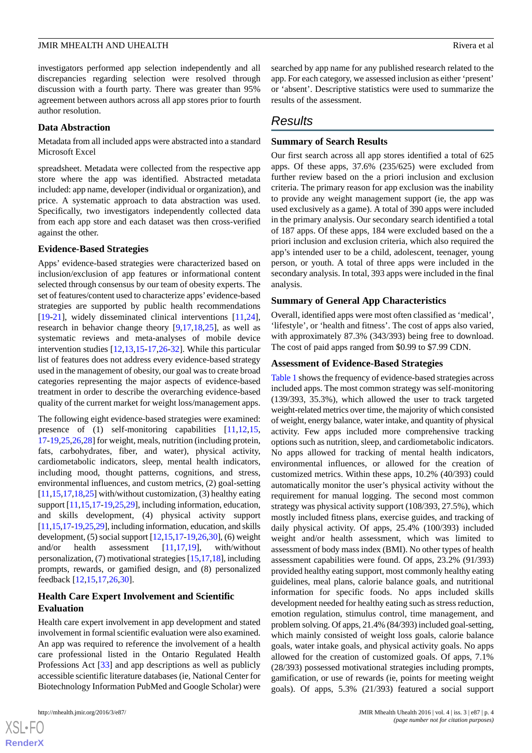investigators performed app selection independently and all discrepancies regarding selection were resolved through discussion with a fourth party. There was greater than 95% agreement between authors across all app stores prior to fourth author resolution.

#### **Data Abstraction**

Metadata from all included apps were abstracted into a standard Microsoft Excel

spreadsheet. Metadata were collected from the respective app store where the app was identified. Abstracted metadata included: app name, developer (individual or organization), and price. A systematic approach to data abstraction was used. Specifically, two investigators independently collected data from each app store and each dataset was then cross-verified against the other.

#### **Evidence-Based Strategies**

Apps' evidence-based strategies were characterized based on inclusion/exclusion of app features or informational content selected through consensus by our team of obesity experts. The set of features/content used to characterize apps' evidence-based strategies are supported by public health recommendations [[19](#page-7-19)[-21](#page-7-17)], widely disseminated clinical interventions [\[11](#page-7-10),[24\]](#page-7-21), research in behavior change theory [[9,](#page-7-8)[17](#page-7-15),[18,](#page-7-16)[25](#page-8-0)], as well as systematic reviews and meta-analyses of mobile device intervention studies [[12](#page-7-11)[,13](#page-7-12),[15](#page-7-14)[-17](#page-7-15),[26-](#page-8-1)[32](#page-8-2)]. While this particular list of features does not address every evidence-based strategy used in the management of obesity, our goal was to create broad categories representing the major aspects of evidence-based treatment in order to describe the overarching evidence-based quality of the current market for weight loss/management apps.

The following eight evidence-based strategies were examined: presence of (1) self-monitoring capabilities [\[11](#page-7-10),[12,](#page-7-11)[15](#page-7-14), [17](#page-7-15)-[19](#page-7-19)[,25](#page-8-0),[26](#page-8-1)[,28](#page-8-3)] for weight, meals, nutrition (including protein, fats, carbohydrates, fiber, and water), physical activity, cardiometabolic indicators, sleep, mental health indicators, including mood, thought patterns, cognitions, and stress, environmental influences, and custom metrics, (2) goal-setting  $[11,15,17,18,25]$  $[11,15,17,18,25]$  $[11,15,17,18,25]$  $[11,15,17,18,25]$  $[11,15,17,18,25]$  $[11,15,17,18,25]$  $[11,15,17,18,25]$  $[11,15,17,18,25]$  with/without customization, (3) healthy eating support [[11](#page-7-10)[,15](#page-7-14),[17-](#page-7-15)[19](#page-7-19),[25,](#page-8-0)[29](#page-8-4)], including information, education, and skills development, (4) physical activity support [[11,](#page-7-10)[15,](#page-7-14)[17-](#page-7-15)[19,](#page-7-19)[25](#page-8-0)[,29\]](#page-8-4), including information, education, and skills development, (5) social support [\[12](#page-7-11)[,15](#page-7-14),[17-](#page-7-15)[19](#page-7-19)[,26](#page-8-1),[30\]](#page-8-5), (6) weight and/or health assessment [[11](#page-7-10)[,17](#page-7-15),[19\]](#page-7-19), with/without personalization, (7) motivational strategies [[15,](#page-7-14)[17](#page-7-15)[,18](#page-7-16)], including prompts, rewards, or gamified design, and (8) personalized feedback [\[12](#page-7-11),[15](#page-7-14)[,17](#page-7-15),[26](#page-8-1)[,30](#page-8-5)].

# **Health Care Expert Involvement and Scientific Evaluation**

Health care expert involvement in app development and stated involvement in formal scientific evaluation were also examined. An app was required to reference the involvement of a health care professional listed in the Ontario Regulated Health Professions Act [[33\]](#page-8-6) and app descriptions as well as publicly accessible scientific literature databases (ie, National Center for Biotechnology Information PubMed and Google Scholar) were

 $XS$ -FO **[RenderX](http://www.renderx.com/)** searched by app name for any published research related to the app. For each category, we assessed inclusion as either 'present' or 'absent'. Descriptive statistics were used to summarize the results of the assessment.

# *Results*

# **Summary of Search Results**

Our first search across all app stores identified a total of 625 apps. Of these apps, 37.6% (235/625) were excluded from further review based on the a priori inclusion and exclusion criteria. The primary reason for app exclusion was the inability to provide any weight management support (ie, the app was used exclusively as a game). A total of 390 apps were included in the primary analysis. Our secondary search identified a total of 187 apps. Of these apps, 184 were excluded based on the a priori inclusion and exclusion criteria, which also required the app's intended user to be a child, adolescent, teenager, young person, or youth. A total of three apps were included in the secondary analysis. In total, 393 apps were included in the final analysis.

#### **Summary of General App Characteristics**

Overall, identified apps were most often classified as 'medical', 'lifestyle', or 'health and fitness'. The cost of apps also varied, with approximately 87.3% (343/393) being free to download. The cost of paid apps ranged from \$0.99 to \$7.99 CDN.

#### **Assessment of Evidence-Based Strategies**

[Table 1](#page-4-0) shows the frequency of evidence-based strategies across included apps. The most common strategy was self-monitoring (139/393, 35.3%), which allowed the user to track targeted weight-related metrics over time, the majority of which consisted of weight, energy balance, water intake, and quantity of physical activity. Few apps included more comprehensive tracking options such as nutrition, sleep, and cardiometabolic indicators. No apps allowed for tracking of mental health indicators, environmental influences, or allowed for the creation of customized metrics. Within these apps, 10.2% (40/393) could automatically monitor the user's physical activity without the requirement for manual logging. The second most common strategy was physical activity support (108/393, 27.5%), which mostly included fitness plans, exercise guides, and tracking of daily physical activity. Of apps, 25.4% (100/393) included weight and/or health assessment, which was limited to assessment of body mass index (BMI). No other types of health assessment capabilities were found. Of apps, 23.2% (91/393) provided healthy eating support, most commonly healthy eating guidelines, meal plans, calorie balance goals, and nutritional information for specific foods. No apps included skills development needed for healthy eating such as stress reduction, emotion regulation, stimulus control, time management, and problem solving. Of apps, 21.4% (84/393) included goal-setting, which mainly consisted of weight loss goals, calorie balance goals, water intake goals, and physical activity goals. No apps allowed for the creation of customized goals. Of apps, 7.1% (28/393) possessed motivational strategies including prompts, gamification, or use of rewards (ie, points for meeting weight goals). Of apps, 5.3% (21/393) featured a social support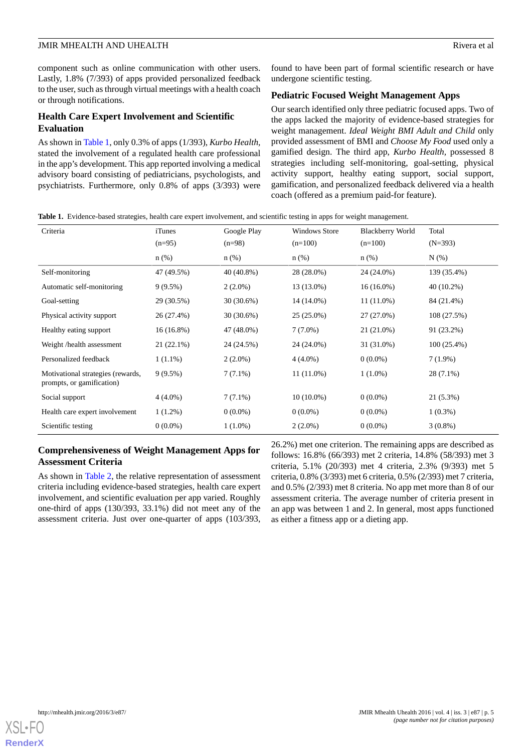component such as online communication with other users. Lastly, 1.8% (7/393) of apps provided personalized feedback to the user, such as through virtual meetings with a health coach or through notifications.

#### **Health Care Expert Involvement and Scientific Evaluation**

As shown in [Table 1](#page-4-0), only 0.3% of apps (1/393), *Kurbo Health,* stated the involvement of a regulated health care professional in the app's development. This app reported involving a medical advisory board consisting of pediatricians, psychologists, and psychiatrists. Furthermore, only 0.8% of apps (3/393) were found to have been part of formal scientific research or have undergone scientific testing.

## **Pediatric Focused Weight Management Apps**

Our search identified only three pediatric focused apps. Two of the apps lacked the majority of evidence-based strategies for weight management. *Ideal Weight BMI Adult and Child* only provided assessment of BMI and *Choose My Food* used only a gamified design. The third app, *Kurbo Health,* possessed 8 strategies including self-monitoring, goal-setting, physical activity support, healthy eating support, social support, gamification, and personalized feedback delivered via a health coach (offered as a premium paid-for feature).

<span id="page-4-0"></span>**Table 1.** Evidence-based strategies, health care expert involvement, and scientific testing in apps for weight management.

| Criteria                                                       | iTunes              | Google Play         | <b>Windows Store</b> | <b>Blackberry World</b> | Total              |
|----------------------------------------------------------------|---------------------|---------------------|----------------------|-------------------------|--------------------|
|                                                                | $(n=95)$<br>$n$ (%) | $(n=98)$<br>$n$ (%) | $(n=100)$<br>$n$ (%) | $(n=100)$<br>$n(\%)$    | $(N=393)$<br>N(% ) |
| Self-monitoring                                                | 47 (49.5%)          | $40(40.8\%)$        | 28 (28.0%)           | 24 (24.0%)              | 139 (35.4%)        |
| Automatic self-monitoring                                      | $9(9.5\%)$          | $2(2.0\%)$          | 13 (13.0%)           | $16(16.0\%)$            | 40 (10.2%)         |
| Goal-setting                                                   | 29 (30.5%)          | $30(30.6\%)$        | 14 (14.0%)           | $11(11.0\%)$            | 84 (21.4%)         |
| Physical activity support                                      | 26 (27.4%)          | $30(30.6\%)$        | $25(25.0\%)$         | 27 (27.0%)              | 108 (27.5%)        |
| Healthy eating support                                         | $16(16.8\%)$        | 47 (48.0%)          | $7(7.0\%)$           | 21 (21.0%)              | 91 (23.2%)         |
| Weight /health assessment                                      | $21(22.1\%)$        | 24 (24.5%)          | 24 (24.0%)           | 31 (31.0%)              | $100(25.4\%)$      |
| Personalized feedback                                          | $1(1.1\%)$          | $2(2.0\%)$          | $4(4.0\%)$           | $0(0.0\%)$              | $7(1.9\%)$         |
| Motivational strategies (rewards,<br>prompts, or gamification) | $9(9.5\%)$          | $7(7.1\%)$          | $11(11.0\%)$         | $1(1.0\%)$              | 28 (7.1%)          |
| Social support                                                 | $4(4.0\%)$          | $7(7.1\%)$          | $10(10.0\%)$         | $0(0.0\%)$              | 21 (5.3%)          |
| Health care expert involvement                                 | $1(1.2\%)$          | $0(0.0\%)$          | $0(0.0\%)$           | $0(0.0\%)$              | $1(0.3\%)$         |
| Scientific testing                                             | $0(0.0\%)$          | $1(1.0\%)$          | $2(2.0\%)$           | $0(0.0\%)$              | $3(0.8\%)$         |

# **Comprehensiveness of Weight Management Apps for Assessment Criteria**

As shown in [Table 2,](#page-5-0) the relative representation of assessment criteria including evidence-based strategies, health care expert involvement, and scientific evaluation per app varied. Roughly one-third of apps (130/393, 33.1%) did not meet any of the assessment criteria. Just over one-quarter of apps (103/393,

26.2%) met one criterion. The remaining apps are described as follows: 16.8% (66/393) met 2 criteria, 14.8% (58/393) met 3 criteria, 5.1% (20/393) met 4 criteria, 2.3% (9/393) met 5 criteria, 0.8% (3/393) met 6 criteria, 0.5% (2/393) met 7 criteria, and 0.5% (2/393) met 8 criteria. No app met more than 8 of our assessment criteria. The average number of criteria present in an app was between 1 and 2. In general, most apps functioned as either a fitness app or a dieting app.

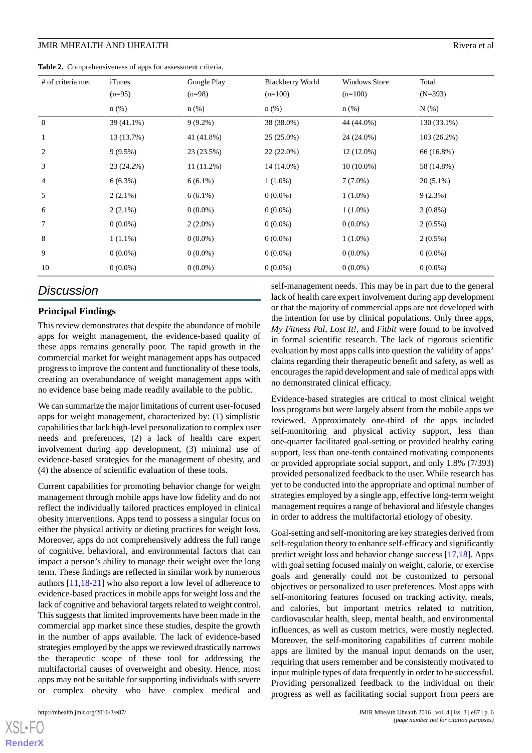<span id="page-5-0"></span>**Table 2.** Comprehensiveness of apps for assessment criteria.

| # of criteria met | <i>i</i> Tunes<br>$(n=95)$ | Google Play<br>$(n=98)$ | <b>Blackberry World</b><br>$(n=100)$ | <b>Windows Store</b><br>$(n=100)$ | Total<br>$(N=393)$ |
|-------------------|----------------------------|-------------------------|--------------------------------------|-----------------------------------|--------------------|
|                   | $n$ (%)                    | $n$ (%)                 | $n$ (%)                              | $n$ (%)                           | $N(\%)$            |
| $\boldsymbol{0}$  | 39 (41.1%)                 | $9(9.2\%)$              | 38 (38.0%)                           | 44 (44.0%)                        | 130 (33.1%)        |
| $\mathbf{1}$      | 13 (13.7%)                 | 41 (41.8%)              | $25(25.0\%)$                         | 24 (24.0%)                        | $103(26.2\%)$      |
| $\overline{c}$    | $9(9.5\%)$                 | 23 (23.5%)              | 22 (22.0%)                           | $12(12.0\%)$                      | 66 (16.8%)         |
| 3                 | 23 (24.2%)                 | $11(11.2\%)$            | 14 (14.0%)                           | $10(10.0\%)$                      | 58 (14.8%)         |
| 4                 | $6(6.3\%)$                 | $6(6.1\%)$              | $1(1.0\%)$                           | $7(7.0\%)$                        | $20(5.1\%)$        |
| 5                 | $2(2.1\%)$                 | $6(6.1\%)$              | $0(0.0\%)$                           | $1(1.0\%)$                        | $9(2.3\%)$         |
| 6                 | $2(2.1\%)$                 | $0(0.0\%)$              | $0(0.0\%)$                           | $1(1.0\%)$                        | $3(0.8\%)$         |
| 7                 | $0(0.0\%)$                 | $2(2.0\%)$              | $0(0.0\%)$                           | $0(0.0\%)$                        | $2(0.5\%)$         |
| 8                 | $1(1.1\%)$                 | $0(0.0\%)$              | $0(0.0\%)$                           | $1(1.0\%)$                        | $2(0.5\%)$         |
| 9                 | $0(0.0\%)$                 | $0(0.0\%)$              | $0(0.0\%)$                           | $0(0.0\%)$                        | $0(0.0\%)$         |
| 10                | $0(0.0\%)$                 | $0(0.0\%)$              | $0(0.0\%)$                           | $0(0.0\%)$                        | $0(0.0\%)$         |

# *Discussion*

# **Principal Findings**

This review demonstrates that despite the abundance of mobile apps for weight management, the evidence-based quality of these apps remains generally poor. The rapid growth in the commercial market for weight management apps has outpaced progress to improve the content and functionality of these tools, creating an overabundance of weight management apps with no evidence base being made readily available to the public.

We can summarize the major limitations of current user-focused apps for weight management, characterized by: (1) simplistic capabilities that lack high-level personalization to complex user needs and preferences, (2) a lack of health care expert involvement during app development, (3) minimal use of evidence-based strategies for the management of obesity, and (4) the absence of scientific evaluation of these tools.

Current capabilities for promoting behavior change for weight management through mobile apps have low fidelity and do not reflect the individually tailored practices employed in clinical obesity interventions. Apps tend to possess a singular focus on either the physical activity or dieting practices for weight loss. Moreover, apps do not comprehensively address the full range of cognitive, behavioral, and environmental factors that can impact a person's ability to manage their weight over the long term. These findings are reflected in similar work by numerous authors [[11](#page-7-10)[,18](#page-7-16)-[21\]](#page-7-17) who also report a low level of adherence to evidence-based practices in mobile apps for weight loss and the lack of cognitive and behavioral targets related to weight control. This suggests that limited improvements have been made in the commercial app market since these studies, despite the growth in the number of apps available. The lack of evidence-based strategies employed by the apps we reviewed drastically narrows the therapeutic scope of these tool for addressing the multifactorial causes of overweight and obesity. Hence, most apps may not be suitable for supporting individuals with severe or complex obesity who have complex medical and

[XSL](http://www.w3.org/Style/XSL)•FO **[RenderX](http://www.renderx.com/)**

self-management needs. This may be in part due to the general lack of health care expert involvement during app development or that the majority of commercial apps are not developed with the intention for use by clinical populations. Only three apps, *My Fitness Pal*, *Lost It!*, and *Fitbit* were found to be involved in formal scientific research. The lack of rigorous scientific evaluation by most apps calls into question the validity of apps' claims regarding their therapeutic benefit and safety, as well as encourages the rapid development and sale of medical apps with no demonstrated clinical efficacy.

Evidence-based strategies are critical to most clinical weight loss programs but were largely absent from the mobile apps we reviewed. Approximately one-third of the apps included self-monitoring and physical activity support, less than one-quarter facilitated goal-setting or provided healthy eating support, less than one-tenth contained motivating components or provided appropriate social support, and only 1.8% (7/393) provided personalized feedback to the user. While research has yet to be conducted into the appropriate and optimal number of strategies employed by a single app, effective long-term weight management requires a range of behavioral and lifestyle changes in order to address the multifactorial etiology of obesity.

Goal-setting and self-monitoring are key strategies derived from self-regulation theory to enhance self-efficacy and significantly predict weight loss and behavior change success [\[17](#page-7-15),[18\]](#page-7-16). Apps with goal setting focused mainly on weight, calorie, or exercise goals and generally could not be customized to personal objectives or personalized to user preferences. Most apps with self-monitoring features focused on tracking activity, meals, and calories, but important metrics related to nutrition, cardiovascular health, sleep, mental health, and environmental influences, as well as custom metrics, were mostly neglected. Moreover, the self-monitoring capabilities of current mobile apps are limited by the manual input demands on the user, requiring that users remember and be consistently motivated to input multiple types of data frequently in order to be successful. Providing personalized feedback to the individual on their progress as well as facilitating social support from peers are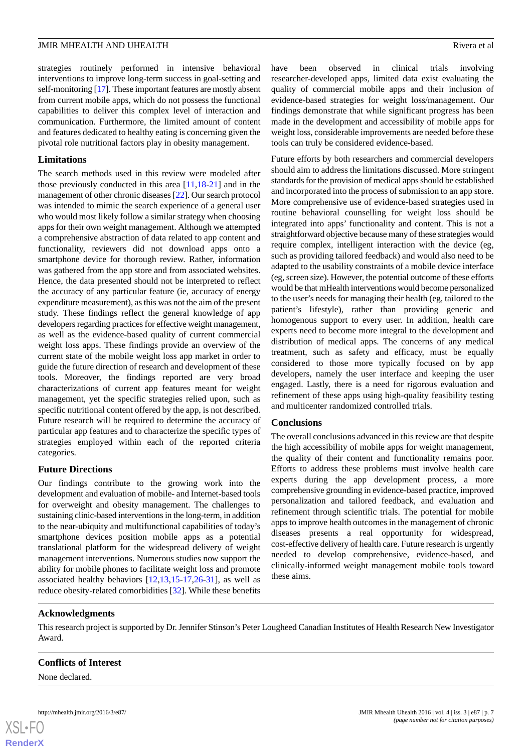strategies routinely performed in intensive behavioral interventions to improve long-term success in goal-setting and self-monitoring [\[17](#page-7-15)]. These important features are mostly absent from current mobile apps, which do not possess the functional capabilities to deliver this complex level of interaction and communication. Furthermore, the limited amount of content and features dedicated to healthy eating is concerning given the pivotal role nutritional factors play in obesity management.

#### **Limitations**

The search methods used in this review were modeled after those previously conducted in this area [\[11](#page-7-10),[18-](#page-7-16)[21](#page-7-17)] and in the management of other chronic diseases [[22](#page-7-22)]. Our search protocol was intended to mimic the search experience of a general user who would most likely follow a similar strategy when choosing apps for their own weight management. Although we attempted a comprehensive abstraction of data related to app content and functionality, reviewers did not download apps onto a smartphone device for thorough review. Rather, information was gathered from the app store and from associated websites. Hence, the data presented should not be interpreted to reflect the accuracy of any particular feature (ie, accuracy of energy expenditure measurement), as this was not the aim of the present study. These findings reflect the general knowledge of app developers regarding practices for effective weight management, as well as the evidence-based quality of current commercial weight loss apps. These findings provide an overview of the current state of the mobile weight loss app market in order to guide the future direction of research and development of these tools. Moreover, the findings reported are very broad characterizations of current app features meant for weight management, yet the specific strategies relied upon, such as specific nutritional content offered by the app, is not described. Future research will be required to determine the accuracy of particular app features and to characterize the specific types of strategies employed within each of the reported criteria categories.

#### **Future Directions**

Our findings contribute to the growing work into the development and evaluation of mobile- and Internet-based tools for overweight and obesity management. The challenges to sustaining clinic-based interventions in the long-term, in addition to the near-ubiquity and multifunctional capabilities of today's smartphone devices position mobile apps as a potential translational platform for the widespread delivery of weight management interventions. Numerous studies now support the ability for mobile phones to facilitate weight loss and promote associated healthy behaviors [\[12](#page-7-11),[13](#page-7-12)[,15](#page-7-14)-[17,](#page-7-15)[26](#page-8-1)-[31\]](#page-8-7), as well as reduce obesity-related comorbidities [\[32](#page-8-2)]. While these benefits have been observed in clinical trials involving researcher-developed apps, limited data exist evaluating the quality of commercial mobile apps and their inclusion of evidence-based strategies for weight loss/management. Our findings demonstrate that while significant progress has been made in the development and accessibility of mobile apps for weight loss, considerable improvements are needed before these tools can truly be considered evidence-based.

Future efforts by both researchers and commercial developers should aim to address the limitations discussed. More stringent standards for the provision of medical apps should be established and incorporated into the process of submission to an app store. More comprehensive use of evidence-based strategies used in routine behavioral counselling for weight loss should be integrated into apps' functionality and content. This is not a straightforward objective because many of these strategies would require complex, intelligent interaction with the device (eg, such as providing tailored feedback) and would also need to be adapted to the usability constraints of a mobile device interface (eg, screen size). However, the potential outcome of these efforts would be that mHealth interventions would become personalized to the user's needs for managing their health (eg, tailored to the patient's lifestyle), rather than providing generic and homogenous support to every user. In addition, health care experts need to become more integral to the development and distribution of medical apps. The concerns of any medical treatment, such as safety and efficacy, must be equally considered to those more typically focused on by app developers, namely the user interface and keeping the user engaged. Lastly, there is a need for rigorous evaluation and refinement of these apps using high-quality feasibility testing and multicenter randomized controlled trials.

#### **Conclusions**

The overall conclusions advanced in this review are that despite the high accessibility of mobile apps for weight management, the quality of their content and functionality remains poor. Efforts to address these problems must involve health care experts during the app development process, a more comprehensive grounding in evidence-based practice, improved personalization and tailored feedback, and evaluation and refinement through scientific trials. The potential for mobile apps to improve health outcomes in the management of chronic diseases presents a real opportunity for widespread, cost-effective delivery of health care. Future research is urgently needed to develop comprehensive, evidence-based, and clinically-informed weight management mobile tools toward these aims.

#### **Acknowledgments**

This research project is supported by Dr. Jennifer Stinson's Peter Lougheed Canadian Institutes of Health Research New Investigator Award.

#### **Conflicts of Interest**

None declared.

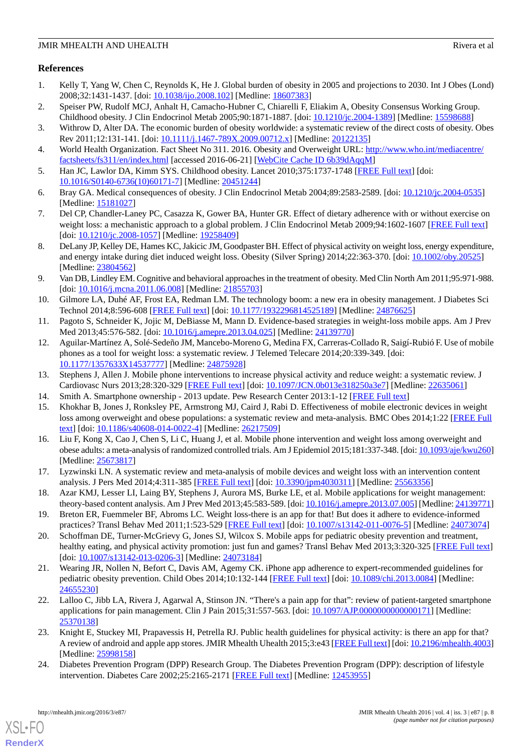# **References**

- <span id="page-7-0"></span>1. Kelly T, Yang W, Chen C, Reynolds K, He J. Global burden of obesity in 2005 and projections to 2030. Int J Obes (Lond) 2008;32:1431-1437. [doi: [10.1038/ijo.2008.102\]](http://dx.doi.org/10.1038/ijo.2008.102) [Medline: [18607383](http://www.ncbi.nlm.nih.gov/entrez/query.fcgi?cmd=Retrieve&db=PubMed&list_uids=18607383&dopt=Abstract)]
- <span id="page-7-2"></span><span id="page-7-1"></span>2. Speiser PW, Rudolf MCJ, Anhalt H, Camacho-Hubner C, Chiarelli F, Eliakim A, Obesity Consensus Working Group. Childhood obesity. J Clin Endocrinol Metab 2005;90:1871-1887. [doi: [10.1210/jc.2004-1389](http://dx.doi.org/10.1210/jc.2004-1389)] [Medline: [15598688\]](http://www.ncbi.nlm.nih.gov/entrez/query.fcgi?cmd=Retrieve&db=PubMed&list_uids=15598688&dopt=Abstract)
- <span id="page-7-3"></span>3. Withrow D, Alter DA. The economic burden of obesity worldwide: a systematic review of the direct costs of obesity. Obes Rev 2011;12:131-141. [doi: [10.1111/j.1467-789X.2009.00712.x\]](http://dx.doi.org/10.1111/j.1467-789X.2009.00712.x) [Medline: [20122135\]](http://www.ncbi.nlm.nih.gov/entrez/query.fcgi?cmd=Retrieve&db=PubMed&list_uids=20122135&dopt=Abstract)
- <span id="page-7-4"></span>4. World Health Organization. Fact Sheet No 311. 2016. Obesity and Overweight URL: [http://www.who.int/mediacentre/](http://www.who.int/mediacentre/factsheets/fs311/en/index.html) [factsheets/fs311/en/index.html](http://www.who.int/mediacentre/factsheets/fs311/en/index.html) [accessed 2016-06-21] [[WebCite Cache ID 6b39dAqqM\]](http://www.webcitation.org/

                                6b39dAqqM)
- <span id="page-7-5"></span>5. Han JC, Lawlor DA, Kimm SYS. Childhood obesity. Lancet 2010;375:1737-1748 [\[FREE Full text\]](http://europepmc.org/abstract/MED/20451244) [doi: [10.1016/S0140-6736\(10\)60171-7\]](http://dx.doi.org/10.1016/S0140-6736(10)60171-7) [Medline: [20451244](http://www.ncbi.nlm.nih.gov/entrez/query.fcgi?cmd=Retrieve&db=PubMed&list_uids=20451244&dopt=Abstract)]
- <span id="page-7-6"></span>6. Bray GA. Medical consequences of obesity. J Clin Endocrinol Metab 2004;89:2583-2589. [doi: [10.1210/jc.2004-0535](http://dx.doi.org/10.1210/jc.2004-0535)] [Medline: [15181027](http://www.ncbi.nlm.nih.gov/entrez/query.fcgi?cmd=Retrieve&db=PubMed&list_uids=15181027&dopt=Abstract)]
- <span id="page-7-7"></span>7. Del CP, Chandler-Laney PC, Casazza K, Gower BA, Hunter GR. Effect of dietary adherence with or without exercise on weight loss: a mechanistic approach to a global problem. J Clin Endocrinol Metab 2009;94:1602-1607 [\[FREE Full text\]](http://europepmc.org/abstract/MED/19258409) [doi: [10.1210/jc.2008-1057](http://dx.doi.org/10.1210/jc.2008-1057)] [Medline: [19258409](http://www.ncbi.nlm.nih.gov/entrez/query.fcgi?cmd=Retrieve&db=PubMed&list_uids=19258409&dopt=Abstract)]
- <span id="page-7-8"></span>8. DeLany JP, Kelley DE, Hames KC, Jakicic JM, Goodpaster BH. Effect of physical activity on weight loss, energy expenditure, and energy intake during diet induced weight loss. Obesity (Silver Spring) 2014;22:363-370. [doi: [10.1002/oby.20525](http://dx.doi.org/10.1002/oby.20525)] [Medline: [23804562](http://www.ncbi.nlm.nih.gov/entrez/query.fcgi?cmd=Retrieve&db=PubMed&list_uids=23804562&dopt=Abstract)]
- <span id="page-7-9"></span>9. Van DB, Lindley EM. Cognitive and behavioral approaches in the treatment of obesity. Med Clin North Am 2011;95:971-988. [doi: [10.1016/j.mcna.2011.06.008\]](http://dx.doi.org/10.1016/j.mcna.2011.06.008) [Medline: [21855703](http://www.ncbi.nlm.nih.gov/entrez/query.fcgi?cmd=Retrieve&db=PubMed&list_uids=21855703&dopt=Abstract)]
- <span id="page-7-11"></span><span id="page-7-10"></span>10. Gilmore LA, Duhé AF, Frost EA, Redman LM. The technology boom: a new era in obesity management. J Diabetes Sci Technol 2014;8:596-608 [[FREE Full text](http://europepmc.org/abstract/MED/24876625)] [doi: [10.1177/1932296814525189\]](http://dx.doi.org/10.1177/1932296814525189) [Medline: [24876625\]](http://www.ncbi.nlm.nih.gov/entrez/query.fcgi?cmd=Retrieve&db=PubMed&list_uids=24876625&dopt=Abstract)
- 11. Pagoto S, Schneider K, Jojic M, DeBiasse M, Mann D. Evidence-based strategies in weight-loss mobile apps. Am J Prev Med 2013;45:576-582. [doi: [10.1016/j.amepre.2013.04.025](http://dx.doi.org/10.1016/j.amepre.2013.04.025)] [Medline: [24139770\]](http://www.ncbi.nlm.nih.gov/entrez/query.fcgi?cmd=Retrieve&db=PubMed&list_uids=24139770&dopt=Abstract)
- <span id="page-7-13"></span><span id="page-7-12"></span>12. Aguilar-Martínez A, Solé-Sedeño JM, Mancebo-Moreno G, Medina FX, Carreras-Collado R, Saigí-RubióF. Use of mobile phones as a tool for weight loss: a systematic review. J Telemed Telecare 2014;20:339-349. [doi: [10.1177/1357633X14537777](http://dx.doi.org/10.1177/1357633X14537777)] [Medline: [24875928\]](http://www.ncbi.nlm.nih.gov/entrez/query.fcgi?cmd=Retrieve&db=PubMed&list_uids=24875928&dopt=Abstract)
- <span id="page-7-14"></span>13. Stephens J, Allen J. Mobile phone interventions to increase physical activity and reduce weight: a systematic review. J Cardiovasc Nurs 2013;28:320-329 [\[FREE Full text\]](http://europepmc.org/abstract/MED/22635061) [doi: [10.1097/JCN.0b013e318250a3e7\]](http://dx.doi.org/10.1097/JCN.0b013e318250a3e7) [Medline: [22635061\]](http://www.ncbi.nlm.nih.gov/entrez/query.fcgi?cmd=Retrieve&db=PubMed&list_uids=22635061&dopt=Abstract)
- 14. Smith A. Smartphone ownership 2013 update. Pew Research Center 2013:1-12 [[FREE Full text](http://www.pewinternet.org/files/old-media//Files/Reports/2013/PIP_Smartphone_adoption_2013_PDF.pdf)]
- 15. Khokhar B, Jones J, Ronksley PE, Armstrong MJ, Caird J, Rabi D. Effectiveness of mobile electronic devices in weight loss among overweight and obese populations: a systematic review and meta-analysis. BMC Obes 2014;1:22 [[FREE Full](http://europepmc.org/abstract/MED/26217509) [text](http://europepmc.org/abstract/MED/26217509)] [doi: [10.1186/s40608-014-0022-4\]](http://dx.doi.org/10.1186/s40608-014-0022-4) [Medline: [26217509](http://www.ncbi.nlm.nih.gov/entrez/query.fcgi?cmd=Retrieve&db=PubMed&list_uids=26217509&dopt=Abstract)]
- <span id="page-7-16"></span><span id="page-7-15"></span>16. Liu F, Kong X, Cao J, Chen S, Li C, Huang J, et al. Mobile phone intervention and weight loss among overweight and obese adults: a meta-analysis of randomized controlled trials. Am J Epidemiol 2015;181:337-348. [doi: [10.1093/aje/kwu260\]](http://dx.doi.org/10.1093/aje/kwu260) [Medline: [25673817](http://www.ncbi.nlm.nih.gov/entrez/query.fcgi?cmd=Retrieve&db=PubMed&list_uids=25673817&dopt=Abstract)]
- <span id="page-7-19"></span>17. Lyzwinski LN. A systematic review and meta-analysis of mobile devices and weight loss with an intervention content analysis. J Pers Med 2014;4:311-385 [\[FREE Full text\]](http://www.mdpi.com/resolver?pii=jpm4030311) [doi: [10.3390/jpm4030311\]](http://dx.doi.org/10.3390/jpm4030311) [Medline: [25563356\]](http://www.ncbi.nlm.nih.gov/entrez/query.fcgi?cmd=Retrieve&db=PubMed&list_uids=25563356&dopt=Abstract)
- <span id="page-7-18"></span>18. Azar KMJ, Lesser LI, Laing BY, Stephens J, Aurora MS, Burke LE, et al. Mobile applications for weight management: theory-based content analysis. Am J Prev Med 2013;45:583-589. [doi: [10.1016/j.amepre.2013.07.005\]](http://dx.doi.org/10.1016/j.amepre.2013.07.005) [Medline: [24139771\]](http://www.ncbi.nlm.nih.gov/entrez/query.fcgi?cmd=Retrieve&db=PubMed&list_uids=24139771&dopt=Abstract)
- <span id="page-7-17"></span>19. Breton ER, Fuemmeler BF, Abroms LC. Weight loss-there is an app for that! But does it adhere to evidence-informed practices? Transl Behav Med 2011;1:523-529 [\[FREE Full text\]](http://europepmc.org/abstract/MED/24073074) [doi: [10.1007/s13142-011-0076-5\]](http://dx.doi.org/10.1007/s13142-011-0076-5) [Medline: [24073074\]](http://www.ncbi.nlm.nih.gov/entrez/query.fcgi?cmd=Retrieve&db=PubMed&list_uids=24073074&dopt=Abstract)
- <span id="page-7-22"></span>20. Schoffman DE, Turner-McGrievy G, Jones SJ, Wilcox S. Mobile apps for pediatric obesity prevention and treatment, healthy eating, and physical activity promotion: just fun and games? Transl Behav Med 2013;3:320-325 [\[FREE Full text](http://europepmc.org/abstract/MED/24073184)] [doi: [10.1007/s13142-013-0206-3](http://dx.doi.org/10.1007/s13142-013-0206-3)] [Medline: [24073184\]](http://www.ncbi.nlm.nih.gov/entrez/query.fcgi?cmd=Retrieve&db=PubMed&list_uids=24073184&dopt=Abstract)
- <span id="page-7-20"></span>21. Wearing JR, Nollen N, Befort C, Davis AM, Agemy CK. iPhone app adherence to expert-recommended guidelines for pediatric obesity prevention. Child Obes 2014;10:132-144 [\[FREE Full text\]](http://europepmc.org/abstract/MED/24655230) [doi: [10.1089/chi.2013.0084](http://dx.doi.org/10.1089/chi.2013.0084)] [Medline: [24655230](http://www.ncbi.nlm.nih.gov/entrez/query.fcgi?cmd=Retrieve&db=PubMed&list_uids=24655230&dopt=Abstract)]
- <span id="page-7-21"></span>22. Lalloo C, Jibb LA, Rivera J, Agarwal A, Stinson JN. "There's a pain app for that": review of patient-targeted smartphone applications for pain management. Clin J Pain 2015;31:557-563. [doi: 10.1097/AJP.00000000000000171] [Medline: [25370138](http://www.ncbi.nlm.nih.gov/entrez/query.fcgi?cmd=Retrieve&db=PubMed&list_uids=25370138&dopt=Abstract)]
- 23. Knight E, Stuckey MI, Prapavessis H, Petrella RJ. Public health guidelines for physical activity: is there an app for that? A review of android and apple app stores. JMIR Mhealth Uhealth 2015;3:e43 [\[FREE Full text\]](http://mhealth.jmir.org/2015/2/e43/) [doi: [10.2196/mhealth.4003](http://dx.doi.org/10.2196/mhealth.4003)] [Medline: [25998158](http://www.ncbi.nlm.nih.gov/entrez/query.fcgi?cmd=Retrieve&db=PubMed&list_uids=25998158&dopt=Abstract)]
- 24. Diabetes Prevention Program (DPP) Research Group. The Diabetes Prevention Program (DPP): description of lifestyle intervention. Diabetes Care 2002;25:2165-2171 [\[FREE Full text\]](http://europepmc.org/abstract/MED/12453955) [Medline: [12453955\]](http://www.ncbi.nlm.nih.gov/entrez/query.fcgi?cmd=Retrieve&db=PubMed&list_uids=12453955&dopt=Abstract)